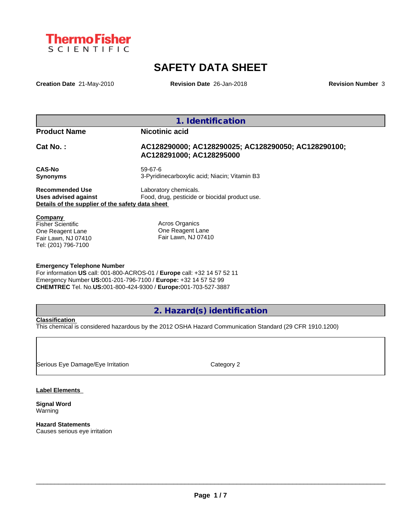

# **SAFETY DATA SHEET**

**Creation Date** 21-May-2010 **Revision Date** 26-Jan-2018 **Revision Number** 3

**1. Identification**

## **Product Name Nicotinic acid**

# **Cat No. : AC128290000; AC128290025; AC128290050; AC128290100; AC128291000; AC128295000**

**CAS-No** 59-67-6 **Synonyms** 3-Pyridinecarboxylic acid; Niacin; Vitamin B3

**Recommended Use** Laboratory chemicals. **Uses advised against** Food, drug, pesticide or biocidal product use. **Details of the supplier of the safety data sheet**

### **Company**

Fisher Scientific One Reagent Lane Fair Lawn, NJ 07410 Tel: (201) 796-7100

Acros Organics One Reagent Lane Fair Lawn, NJ 07410

### **Emergency Telephone Number**

For information **US** call: 001-800-ACROS-01 / **Europe** call: +32 14 57 52 11 Emergency Number **US:**001-201-796-7100 / **Europe:** +32 14 57 52 99 **CHEMTREC** Tel. No.**US:**001-800-424-9300 / **Europe:**001-703-527-3887

# **2. Hazard(s) identification**

## **Classification**

This chemical is considered hazardous by the 2012 OSHA Hazard Communication Standard (29 CFR 1910.1200)

Serious Eye Damage/Eye Irritation Category 2

### **Label Elements**

**Signal Word** Warning

**Hazard Statements** Causes serious eye irritation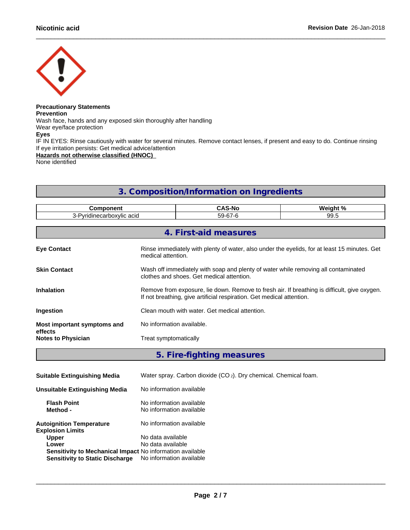

#### **Precautionary Statements Prevention** Wash face, hands and any exposed skin thoroughly after handling

Wear eye/face protection

**Eyes**

IF IN EYES: Rinse cautiously with water for several minutes. Remove contact lenses, if present and easy to do. Continue rinsing If eye irritation persists: Get medical advice/attention

**Hazards not otherwise classified (HNOC)**

None identified

# **3. Composition/Information on Ingredients**

| <b>Component</b><br>3-Pyridinecarboxylic acid |                                                                                                                                                                       | <b>CAS-No</b>         | Weight % |
|-----------------------------------------------|-----------------------------------------------------------------------------------------------------------------------------------------------------------------------|-----------------------|----------|
|                                               |                                                                                                                                                                       | 59-67-6               | 99.5     |
|                                               |                                                                                                                                                                       |                       |          |
|                                               |                                                                                                                                                                       | 4. First-aid measures |          |
| <b>Eye Contact</b>                            | Rinse immediately with plenty of water, also under the eyelids, for at least 15 minutes. Get<br>medical attention.                                                    |                       |          |
| <b>Skin Contact</b>                           | Wash off immediately with soap and plenty of water while removing all contaminated<br>clothes and shoes. Get medical attention.                                       |                       |          |
| <b>Inhalation</b>                             | Remove from exposure, lie down. Remove to fresh air. If breathing is difficult, give oxygen.<br>If not breathing, give artificial respiration. Get medical attention. |                       |          |
| Ingestion                                     | Clean mouth with water. Get medical attention.                                                                                                                        |                       |          |
| Most important symptoms and<br>effects        | No information available.                                                                                                                                             |                       |          |
| <b>Notes to Physician</b>                     | Treat symptomatically                                                                                                                                                 |                       |          |
|                                               |                                                                                                                                                                       |                       |          |

# **5. Fire-fighting measures**

| <b>Suitable Extinguishing Media</b>                                                                                          | Water spray. Carbon dioxide $(CO_2)$ . Dry chemical. Chemical foam. |
|------------------------------------------------------------------------------------------------------------------------------|---------------------------------------------------------------------|
| Unsuitable Extinguishing Media                                                                                               | No information available                                            |
| <b>Flash Point</b><br>Method -                                                                                               | No information available<br>No information available                |
| <b>Autoignition Temperature</b><br><b>Explosion Limits</b>                                                                   | No information available                                            |
| <b>Upper</b><br>Lower<br>Sensitivity to Mechanical Impact No information available<br><b>Sensitivity to Static Discharge</b> | No data available<br>No data available<br>No information available  |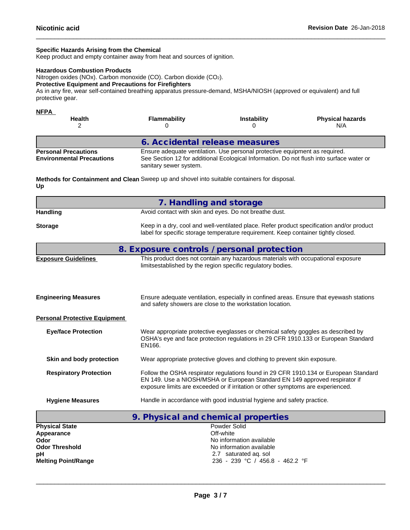### **Specific Hazards Arising from the Chemical**

Keep product and empty container away from heat and sources of ignition.

#### **Hazardous Combustion Products**

Nitrogen oxides (NOx). Carbon monoxide (CO). Carbon dioxide (CO2).

### **Protective Equipment and Precautions for Firefighters**

As in any fire, wear self-contained breathing apparatus pressure-demand, MSHA/NIOSH (approved or equivalent) and full protective gear.

| <b>NFPA</b><br><b>Health</b>                                    | <b>Flammability</b>            | <b>Instability</b>                                                          | <b>Physical hazards</b><br>N/A                                                           |
|-----------------------------------------------------------------|--------------------------------|-----------------------------------------------------------------------------|------------------------------------------------------------------------------------------|
|                                                                 | 6. Accidental release measures |                                                                             |                                                                                          |
| <b>Personal Precautions</b><br><b>Environmental Precautions</b> | sanitary sewer system.         | Ensure adequate ventilation. Use personal protective equipment as required. | See Section 12 for additional Ecological Information. Do not flush into surface water or |

**Methods for Containment and Clean** Sweep up and shovel into suitable containers for disposal. **Up**

|                                                                      | 7. Handling and storage                                                                                                                                                                                                                                 |  |  |
|----------------------------------------------------------------------|---------------------------------------------------------------------------------------------------------------------------------------------------------------------------------------------------------------------------------------------------------|--|--|
| <b>Handling</b>                                                      | Avoid contact with skin and eyes. Do not breathe dust.                                                                                                                                                                                                  |  |  |
| <b>Storage</b>                                                       | Keep in a dry, cool and well-ventilated place. Refer product specification and/or product<br>label for specific storage temperature requirement. Keep container tightly closed.                                                                         |  |  |
|                                                                      | 8. Exposure controls / personal protection                                                                                                                                                                                                              |  |  |
| <b>Exposure Guidelines</b>                                           | This product does not contain any hazardous materials with occupational exposure<br>limitsestablished by the region specific regulatory bodies.                                                                                                         |  |  |
| <b>Engineering Measures</b>                                          | Ensure adequate ventilation, especially in confined areas. Ensure that eyewash stations<br>and safety showers are close to the workstation location.                                                                                                    |  |  |
| <b>Personal Protective Equipment</b>                                 |                                                                                                                                                                                                                                                         |  |  |
| <b>Eye/face Protection</b>                                           | Wear appropriate protective eyeglasses or chemical safety goggles as described by<br>OSHA's eye and face protection regulations in 29 CFR 1910.133 or European Standard<br>EN166.                                                                       |  |  |
| Skin and body protection                                             | Wear appropriate protective gloves and clothing to prevent skin exposure.                                                                                                                                                                               |  |  |
| <b>Respiratory Protection</b>                                        | Follow the OSHA respirator regulations found in 29 CFR 1910.134 or European Standard<br>EN 149. Use a NIOSH/MSHA or European Standard EN 149 approved respirator if<br>exposure limits are exceeded or if irritation or other symptoms are experienced. |  |  |
| <b>Hygiene Measures</b>                                              | Handle in accordance with good industrial hygiene and safety practice.                                                                                                                                                                                  |  |  |
|                                                                      | 9. Physical and chemical properties                                                                                                                                                                                                                     |  |  |
| <b>Physical State</b><br>Appearance<br>Odor<br><b>Odor Threshold</b> | Powder Solid<br>Off-white<br>No information available<br>No information available                                                                                                                                                                       |  |  |

**Melting Point/Range** 236 - 239 °C / 456.8 - 462.2 °F

 $\_$  ,  $\_$  ,  $\_$  ,  $\_$  ,  $\_$  ,  $\_$  ,  $\_$  ,  $\_$  ,  $\_$  ,  $\_$  ,  $\_$  ,  $\_$  ,  $\_$  ,  $\_$  ,  $\_$  ,  $\_$  ,  $\_$  ,  $\_$  ,  $\_$  ,  $\_$  ,  $\_$  ,  $\_$  ,  $\_$  ,  $\_$  ,  $\_$  ,  $\_$  ,  $\_$  ,  $\_$  ,  $\_$  ,  $\_$  ,  $\_$  ,  $\_$  ,  $\_$  ,  $\_$  ,  $\_$  ,  $\_$  ,  $\_$  ,

**pH** 2.7 saturated aq. sol **Melting Point/Range** 2.7 saturated aq. sol 236 - 239 °C / 456.8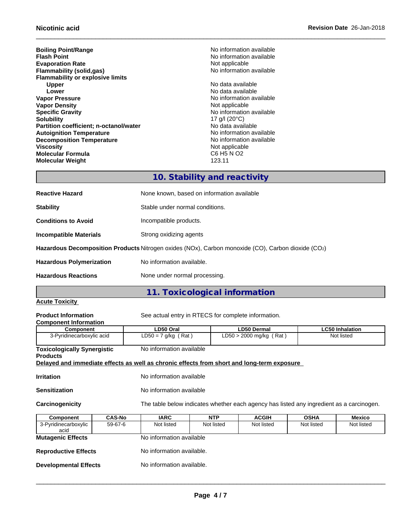**Boiling Point/Range No information available No** information available **Flash Point** No information available in the state of the North No information available **Evaporation Rate** Not applicable **Flammability (solid,gas)** Moinformation available **Flammability or explosive limits Upper** No data available **Lower Lower Lower CONSISTENT ACCORDING ALL CONSISTENT ACCORDING ALL CONSISTENCE ACCORDING AVAILABLE VALUE OF A CONSISTENT AND INCOMENT ACCORDING A CONSISTENT ACCORDING A CONSISTENT ACCORDING A CONSISTENT AND A CONSI Vapor Density**<br> **Specific Gravity**<br> **Vapor Density**<br> **Not** applicable<br>
Not applicable<br>
Not applicable<br>
Not applicable<br>
Not applicable<br>
Not applicable<br>
Not applicable<br>
Not applicable<br>
Not applicable<br>
Not applicable<br>
Not ap **Specific Gravity**<br> **Solubility** 17 g/l (20°C)<br> **Solubility** 17 g/l (20°C) **Partition coefficient; n-octanol/water** No data available<br> **Autoignition Temperature No information available**<br>
No information available **Autoignition Temperature**<br> **Decomposition Temperature Composition Temperature**<br> **No** information available **Decomposition Temperature**<br>Viscosity **Molecular Formula Molecular Weight** 123.11

**No information available** 17 g/l (20°C)<br>No data available Not applicable<br>C6 H5 N O2

# **10. Stability and reactivity**

| <b>Reactive Hazard</b>          | None known, based on information available                                                         |
|---------------------------------|----------------------------------------------------------------------------------------------------|
| <b>Stability</b>                | Stable under normal conditions.                                                                    |
| <b>Conditions to Avoid</b>      | Incompatible products.                                                                             |
| <b>Incompatible Materials</b>   | Strong oxidizing agents                                                                            |
|                                 | Hazardous Decomposition Products Nitrogen oxides (NOx), Carbon monoxide (CO), Carbon dioxide (CO2) |
| <b>Hazardous Polymerization</b> | No information available.                                                                          |
| <b>Hazardous Reactions</b>      | None under normal processing.                                                                      |

## **Acute Toxicity**

**11. Toxicological information**

**Product Information** See actual entry in RTECS for complete information.

| 1 199996 111191 111911911    | ouu autuu u |
|------------------------------|-------------|
| <b>Component Information</b> |             |

| Component                                                                                  | LD50 Oral                | <b>LD50 Dermal</b>        | <b>LC50 Inhalation</b> |
|--------------------------------------------------------------------------------------------|--------------------------|---------------------------|------------------------|
| 3-Pyridinecarboxylic acid                                                                  | $LD50 = 7$ g/kg (Rat)    | $LD50 > 2000$ mg/kg (Rat) | Not listed             |
|                                                                                            |                          |                           |                        |
| <b>Toxicologically Synergistic</b>                                                         | No information available |                           |                        |
| <b>Products</b>                                                                            |                          |                           |                        |
| Delayed and immediate effects as well as chronic effects from short and long-term exposure |                          |                           |                        |

**Irritation** No information available

**Sensitization** No information available

**Carcinogenicity** The table below indicateswhether each agency has listed any ingredient as a carcinogen.

| <b>Component</b>             | <b>CAS-No</b> | <b>IARC</b>               | <b>NTP</b> | <b>ACGIH</b> | <b>OSHA</b> | Mexico     |
|------------------------------|---------------|---------------------------|------------|--------------|-------------|------------|
| 3-Pyridinecarboxylic<br>acid | 59-67-6       | Not listed                | Not listed | Not listed   | Not listed  | Not listed |
| <b>Mutagenic Effects</b>     |               | No information available  |            |              |             |            |
| <b>Reproductive Effects</b>  |               | No information available. |            |              |             |            |
| <b>Developmental Effects</b> |               | No information available. |            |              |             |            |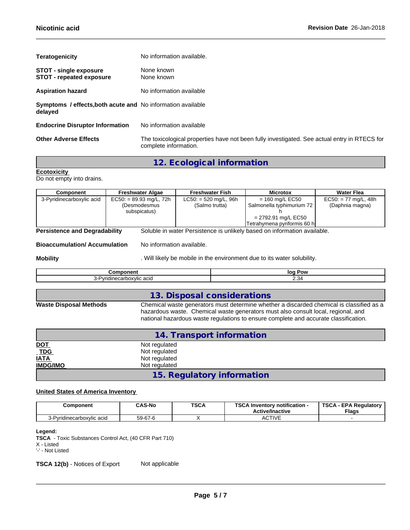| No information available.                                                                                             |
|-----------------------------------------------------------------------------------------------------------------------|
| None known<br>None known                                                                                              |
| No information available                                                                                              |
| Symptoms / effects, both acute and No information available                                                           |
| No information available                                                                                              |
| The toxicological properties have not been fully investigated. See actual entry in RTECS for<br>complete information. |
|                                                                                                                       |

# **12. Ecological information**

**Ecotoxicity**  Do not empty into drains.

| Component                            | <b>Freshwater Algae</b>   | <b>Freshwater Fish</b>  | <b>Microtox</b>                                                          | <b>Water Flea</b>      |
|--------------------------------------|---------------------------|-------------------------|--------------------------------------------------------------------------|------------------------|
| 3-Pyridinecarboxylic acid            | $EC50: = 89.93$ mg/L, 72h | $LC50: = 520$ mg/L, 96h | $= 160$ mg/L EC50                                                        | $EC50: = 77$ mg/L, 48h |
|                                      | (Desmodesmus              | (Salmo trutta)          | Salmonella typhimurium 72                                                | (Daphnia magna)        |
|                                      | subspicatus)              |                         |                                                                          |                        |
|                                      |                           |                         | $= 2792.91$ mg/L EC50                                                    |                        |
|                                      |                           |                         | Tetrahymena pyriformis 60 h                                              |                        |
| <b>Persistence and Degradability</b> |                           |                         | Soluble in water Persistence is unlikely based on information available. |                        |

**Bioaccumulation/ Accumulation** No information available.

**Mobility Mobility** . Will likely be mobile in the environment due to its water solubility.

| .                       | lor<br>. Pow        |
|-------------------------|---------------------|
| . .<br>$\cdots$<br>26 U | -<br>. <del>.</del> |
|                         |                     |

|                               | 13. Disposal considerations                                                                                                                                                                                                                                           |
|-------------------------------|-----------------------------------------------------------------------------------------------------------------------------------------------------------------------------------------------------------------------------------------------------------------------|
| <b>Waste Disposal Methods</b> | Chemical waste generators must determine whether a discarded chemical is classified as a<br>hazardous waste. Chemical waste generators must also consult local, regional, and<br>national hazardous waste regulations to ensure complete and accurate classification. |

|                 | 14. Transport information  |  |
|-----------------|----------------------------|--|
| <u>DOT</u>      | Not regulated              |  |
| TDS             | Not regulated              |  |
| <b>IATA</b>     | Not regulated              |  |
| <b>IMDG/IMO</b> | Not regulated              |  |
|                 | 15. Regulatory information |  |

## **United States of America Inventory**

| Component                    | <b>CAS-No</b> | <b>TSCA</b><br>$ -$ | TOO AL<br>Inventory notification -<br>ou<br><b>Active/Inactive</b> | <b>TSCA</b><br><b>EPA Regulatory</b><br><b>Flags</b> |
|------------------------------|---------------|---------------------|--------------------------------------------------------------------|------------------------------------------------------|
| Pvridinecarboxvlic acid<br>ີ | 59-67-6       |                     | <b>ACTIVE</b><br>8911 V L                                          |                                                      |

#### **Legend:**

**TSCA** - Toxic Substances Control Act, (40 CFR Part 710)

**TSCA 12(b)** - Notices of Export Not applicable

X - Listed

<sup>&#</sup>x27;-' - Not Listed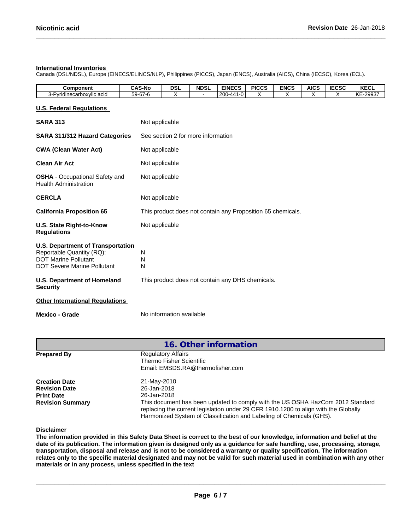### **International Inventories**

Canada (DSL/NDSL), Europe (EINECS/ELINCS/NLP), Philippines (PICCS), Japan (ENCS), Australia (AICS), China (IECSC), Korea (ECL).

| Component                     | <b>CAS-No</b>               | DSL | <b>NDSL</b> | <b>EINECS</b>                     | <b>PICCS</b> | <b>ENCS</b> | <b>AICS</b> | <b>IECSC</b> | <b>VECI</b><br><b>NEUL</b>                        |
|-------------------------------|-----------------------------|-----|-------------|-----------------------------------|--------------|-------------|-------------|--------------|---------------------------------------------------|
| inecarboxylic acid<br>'vridi. | $\sim$<br>$\sim$<br>59-67-6 |     |             | l onn<br>1-44 -<br>ا تا ∹ا<br>zuu |              |             |             |              | KΕ<br>$\sim$ $\sim$ $\sim$ $\sim$<br>,,,,,<br>∠∪ບ |

### **U.S. Federal Regulations**

| <b>SARA 313</b>                                                                                                                            | Not applicable                                              |
|--------------------------------------------------------------------------------------------------------------------------------------------|-------------------------------------------------------------|
| <b>SARA 311/312 Hazard Categories</b>                                                                                                      | See section 2 for more information                          |
| <b>CWA (Clean Water Act)</b>                                                                                                               | Not applicable                                              |
| <b>Clean Air Act</b>                                                                                                                       | Not applicable                                              |
| <b>OSHA</b> - Occupational Safety and<br><b>Health Administration</b>                                                                      | Not applicable                                              |
| <b>CERCLA</b>                                                                                                                              | Not applicable                                              |
| <b>California Proposition 65</b>                                                                                                           | This product does not contain any Proposition 65 chemicals. |
| U.S. State Right-to-Know<br><b>Regulations</b>                                                                                             | Not applicable                                              |
| <b>U.S. Department of Transportation</b><br>Reportable Quantity (RQ):<br><b>DOT Marine Pollutant</b><br><b>DOT Severe Marine Pollutant</b> | N<br>N<br>N                                                 |
| <b>U.S. Department of Homeland</b><br><b>Security</b>                                                                                      | This product does not contain any DHS chemicals.            |
| <b>Other International Regulations</b>                                                                                                     |                                                             |
| Mexico - Grade                                                                                                                             | No information available                                    |

|                         | 16. Other information                                                                                                                                                                                                                         |
|-------------------------|-----------------------------------------------------------------------------------------------------------------------------------------------------------------------------------------------------------------------------------------------|
| <b>Prepared By</b>      | <b>Regulatory Affairs</b>                                                                                                                                                                                                                     |
|                         | Thermo Fisher Scientific                                                                                                                                                                                                                      |
|                         | Email: EMSDS.RA@thermofisher.com                                                                                                                                                                                                              |
| <b>Creation Date</b>    | 21-May-2010                                                                                                                                                                                                                                   |
| <b>Revision Date</b>    | 26-Jan-2018                                                                                                                                                                                                                                   |
| <b>Print Date</b>       | 26-Jan-2018                                                                                                                                                                                                                                   |
| <b>Revision Summary</b> | This document has been updated to comply with the US OSHA HazCom 2012 Standard<br>replacing the current legislation under 29 CFR 1910.1200 to align with the Globally<br>Harmonized System of Classification and Labeling of Chemicals (GHS). |

**Disclaimer**

The information provided in this Safety Data Sheet is correct to the best of our knowledge, information and belief at the date of its publication. The information given is designed only as a guidance for safe handling, use, processing, storage, transportation, disposal and release and is not to be considered a warranty or quality specification. The information relates only to the specific material designated and may not be valid for such material used in combination with any other **materials or in any process,unless specified in the text**